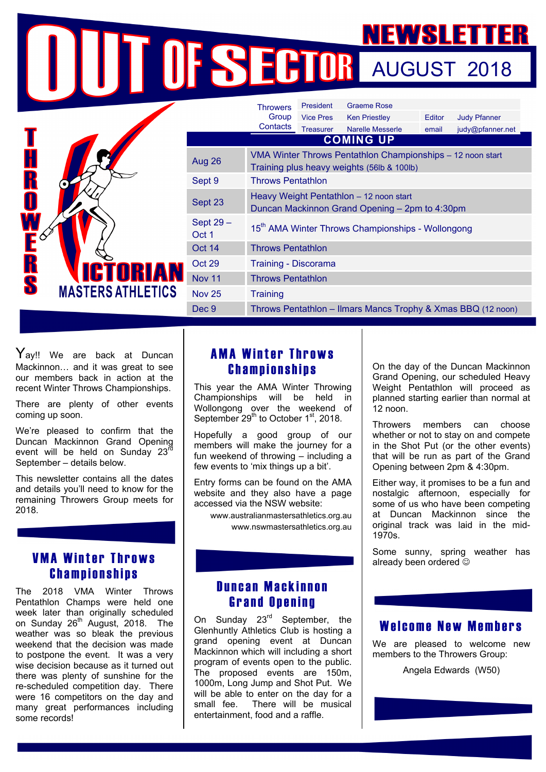# NEWSLETTER NEWSLETTER President Graeme Rose

|                                      |                    | <b>Throwers</b>                                                                                          | President        | Graeme Rose             |        |                     |
|--------------------------------------|--------------------|----------------------------------------------------------------------------------------------------------|------------------|-------------------------|--------|---------------------|
|                                      |                    | Group                                                                                                    | <b>Vice Pres</b> | <b>Ken Priestley</b>    | Editor | <b>Judy Pfanner</b> |
|                                      |                    | Contacts                                                                                                 | <b>Treasurer</b> | <b>Narelle Messerle</b> | email  | judy@pfanner.net    |
|                                      | <b>COMING UP</b>   |                                                                                                          |                  |                         |        |                     |
| H<br>R<br>O                          | Aug 26             | VMA Winter Throws Pentathlon Championships - 12 noon start<br>Training plus heavy weights (56lb & 100lb) |                  |                         |        |                     |
|                                      | Sept 9             | <b>Throws Pentathlon</b>                                                                                 |                  |                         |        |                     |
| FE<br>RS<br><b>MASTERS ATHLETICS</b> | Sept 23            | Heavy Weight Pentathlon - 12 noon start<br>Duncan Mackinnon Grand Opening - 2pm to 4:30pm                |                  |                         |        |                     |
|                                      | Sept 29 -<br>Oct 1 | 15 <sup>th</sup> AMA Winter Throws Championships - Wollongong                                            |                  |                         |        |                     |
|                                      | Oct 14             | <b>Throws Pentathlon</b>                                                                                 |                  |                         |        |                     |
|                                      | Oct 29             | Training - Discorama                                                                                     |                  |                         |        |                     |
|                                      | <b>Nov 11</b>      | <b>Throws Pentathlon</b>                                                                                 |                  |                         |        |                     |
|                                      | <b>Nov 25</b>      | <b>Training</b>                                                                                          |                  |                         |        |                     |
|                                      | Dec 9              | Throws Pentathlon - Ilmars Mancs Trophy & Xmas BBQ (12 noon)                                             |                  |                         |        |                     |

 $Y_{\mathsf{ay}!!}$  We are back at Duncan Mackinnon… and it was great to see our members back in action at the recent Winter Throws Championships.

There are plenty of other events coming up soon.

We're pleased to confirm that the Duncan Mackinnon Grand Opening event will be held on Sunday 23<sup>rd</sup> September – details below.

This newsletter contains all the dates and details you'll need to know for the remaining Throwers Group meets for 2018.

## VMA Winter Throws Championships

The 2018 VMA Winter Throws Pentathlon Champs were held one week later than originally scheduled on Sunday 26<sup>th</sup> August, 2018. The weather was so bleak the previous weekend that the decision was made to postpone the event. It was a very wise decision because as it turned out there was plenty of sunshine for the re-scheduled competition day. There were 16 competitors on the day and many great performances including some records!

# AMA Winter Throws Championships

This year the AMA Winter Throwing Championships will be held in Wollongong over the weekend of September  $29<sup>th</sup>$  to October 1<sup>st</sup>, 2018.

Hopefully a good group of our members will make the journey for a fun weekend of throwing – including a few events to 'mix things up a bit'.

Entry forms can be found on the AMA website and they also have a page accessed via the NSW website:

> www.australianmastersathletics.org.au www.nswmastersathletics.org.au

On the day of the Duncan Mackinnon Grand Opening, our scheduled Heavy Weight Pentathlon will proceed as planned starting earlier than normal at 12 noon.

Throwers members can choose whether or not to stay on and compete in the Shot Put (or the other events) that will be run as part of the Grand Opening between 2pm & 4:30pm.

Either way, it promises to be a fun and nostalgic afternoon, especially for some of us who have been competing at Duncan Mackinnon since the original track was laid in the mid-1970s.

Some sunny, spring weather has already been ordered  $\odot$ 

#### Duncan Mackinnon Grand Opening

On Sunday 23<sup>rd</sup> September, the Glenhuntly Athletics Club is hosting a grand opening event at Duncan Mackinnon which will including a short program of events open to the public. The proposed events are 150m, 1000m, Long Jump and Shot Put. We will be able to enter on the day for a small fee. There will be musical entertainment, food and a raffle.

#### Welcome New Members

We are pleased to welcome new members to the Throwers Group:

Angela Edwards (W50)